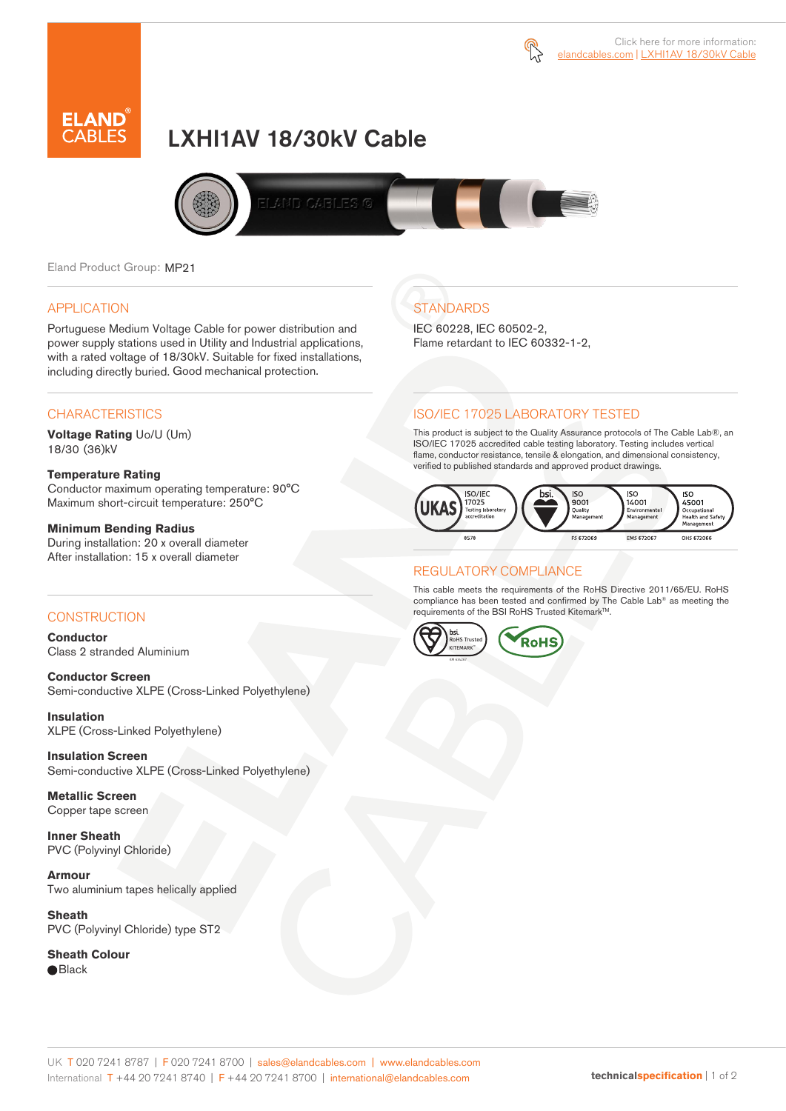



# LXHI1AV 18/30kV Cable



Eland Product Group: MP21

### APPLICATION

Portuguese Medium Voltage Cable for power distribution and power supply stations used in Utility and Industrial applications, with a rated voltage of 18/30kV. Suitable for fixed installations, including directly buried. Good mechanical protection.

### **CHARACTERISTICS**

**Voltage Rating** Uo/U (Um) 18/30 (36)kV

### **Temperature Rating**

Conductor maximum operating temperature: 90°C Maximum short-circuit temperature: 250°C

### **Minimum Bending Radius**

During installation: 20 x overall diameter After installation: 15 x overall diameter

### **CONSTRUCTION**

**Conductor**  Class 2 stranded Aluminium

**Conductor Screen** Semi-conductive XLPE (Cross-Linked Polyethylene)

**Insulation** XLPE (Cross-Linked Polyethylene)

**Insulation Screen** Semi-conductive XLPE (Cross-Linked Polyethylene)

**Metallic Screen**  Copper tape screen

**Inner Sheath** PVC (Polyvinyl Chloride)

**Armour** Two aluminium tapes helically applied

**Sheath** PVC (Polyvinyl Chloride) type ST2

**Sheath Colour**  ● Black

## **STANDARDS**

IEC 60228, IEC 60502-2, Flame retardant to IEC 60332-1-2,

### ISO/IEC 17025 LABORATORY TESTED

This product is subject to the Quality Assurance protocols of The Cable Lab®, an ISO/IEC 17025 accredited cable testing laboratory. Testing includes vertical flame, conductor resistance, tensile & elongation, and dimensional consistency, verified to published standards and approved product drawings.



### REGULATORY COMPLIANCE

This cable meets the requirements of the RoHS Directive 2011/65/EU. RoHS compliance has been tested and confirmed by The Cable Lab® as meeting the requirements of the BSI RoHS Trusted Kitemark™.



#### UK T 020 7241 8787 | F 020 7241 8700 | sales@elandcables.com | www.elandcables.com International T +44 20 7241 8740 | F +44 20 7241 8700 | international@elandcables.com